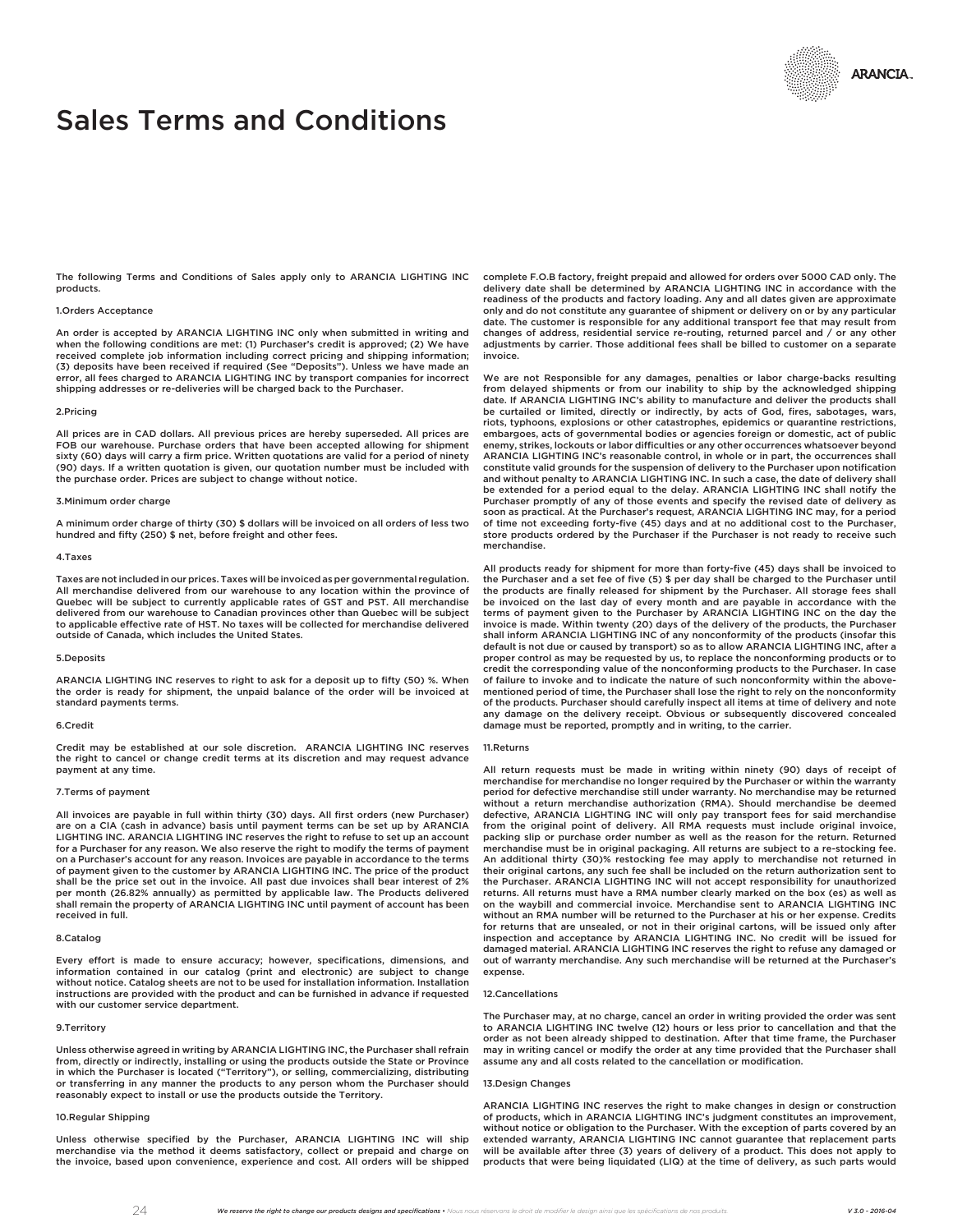# Sales Terms and Conditions

The following Terms and Conditions of Sales apply only to ARANCIA LIGHTING INC products.

## 1.Orders Acceptance

An order is accepted by ARANCIA LIGHTING INC only when submitted in writing and when the following conditions are met: (1) Purchaser's credit is approved; (2) We have received complete job information including correct pricing and shipping information; (3) deposits have been received if required (See "Deposits"). Unless we have made an error, all fees charged to ARANCIA LIGHTING INC by transport companies for incorrect shipping addresses or re-deliveries will be charged back to the Purchaser.

#### 2.Pricing

All prices are in CAD dollars. All previous prices are hereby superseded. All prices are FOB our warehouse. Purchase orders that have been accepted allowing for shipment sixty (60) days will carry a firm price. Written quotations are valid for a period of ninety (90) days. If a written quotation is given, our quotation number must be included with the purchase order. Prices are subject to change without notice.

# 3.Minimum order charge

A minimum order charge of thirty (30) \$ dollars will be invoiced on all orders of less two hundred and fifty (250) \$ net, before freight and other fees.

#### 4.Taxes

Taxes are not included in our prices. Taxes will be invoiced as per governmental regulation. All merchandise delivered from our warehouse to any location within the province of Quebec will be subject to currently applicable rates of GST and PST. All merchandise delivered from our warehouse to Canadian provinces other than Quebec will be subject to applicable effective rate of HST. No taxes will be collected for merchandise delivered outside of Canada, which includes the United States.

#### 5.Deposits

ARANCIA LIGHTING INC reserves to right to ask for a deposit up to fifty (50) %. When the order is ready for shipment, the unpaid balance of the order will be invoiced at standard payments terms.

#### 6.Credit

Credit may be established at our sole discretion. ARANCIA LIGHTING INC reserves the right to cancel or change credit terms at its discretion and may request advance payment at any time.

## 7.Terms of payment

All invoices are payable in full within thirty (30) days. All first orders (new Purchaser) are on a CIA (cash in advance) basis until payment terms can be set up by ARANCIA LIGHTING INC. ARANCIA LIGHTING INC reserves the right to refuse to set up an account for a Purchaser for any reason. We also reserve the right to modify the terms of payment on a Purchaser's account for any reason. Invoices are payable in accordance to the terms of payment given to the customer by ARANCIA LIGHTING INC. The price of the product shall be the price set out in the invoice. All past due invoices shall bear interest of 2% per month (26.82% annually) as permitted by applicable law. The Products delivered shall remain the property of ARANCIA LIGHTING INC until payment of account has been received in full.

## 8.Catalog

Every effort is made to ensure accuracy; however, specifications, dimensions, and information contained in our catalog (print and electronic) are subject to change without notice. Catalog sheets are not to be used for installation information. Installation instructions are provided with the product and can be furnished in advance if requested with our customer service department.

#### 9.Territory

Unless otherwise agreed in writing by ARANCIA LIGHTING INC, the Purchaser shall refrain from, directly or indirectly, installing or using the products outside the State or Province in which the Purchaser is located ("Territory"), or selling, commercializing, distributing or transferring in any manner the products to any person whom the Purchaser should reasonably expect to install or use the products outside the Territory.

# 10.Regular Shipping

Unless otherwise specified by the Purchaser, ARANCIA LIGHTING INC will ship merchandise via the method it deems satisfactory, collect or prepaid and charge on the invoice, based upon convenience, experience and cost. All orders will be shipped

complete F.O.B factory, freight prepaid and allowed for orders over 5000 CAD only. The delivery date shall be determined by ARANCIA LIGHTING INC in accordance with the readiness of the products and factory loading. Any and all dates given are approximate only and do not constitute any guarantee of shipment or delivery on or by any particular date. The customer is responsible for any additional transport fee that may result from changes of address, residential service re-routing, returned parcel and / or any other adjustments by carrier. Those additional fees shall be billed to customer on a separate invoice.

We are not Responsible for any damages, penalties or labor charge-backs resulting from delayed shipments or from our inability to ship by the acknowledged shipping date. If ARANCIA LIGHTING INC's ability to manufacture and deliver the products shall be curtailed or limited, directly or indirectly, by acts of God, fires, sabotages, wars, riots, typhoons, explosions or other catastrophes, epidemics or quarantine restrictions, embargoes, acts of governmental bodies or agencies foreign or domestic, act of public enemy, strikes, lockouts or labor difficulties or any other occurrences whatsoever beyond ARANCIA LIGHTING INC's reasonable control, in whole or in part, the occurrences shall constitute valid grounds for the suspension of delivery to the Purchaser upon notification and without penalty to ARANCIA LIGHTING INC. In such a case, the date of delivery shall be extended for a period equal to the delay. ARANCIA LIGHTING INC shall notify the Purchaser promptly of any of those events and specify the revised date of delivery as soon as practical. At the Purchaser's request, ARANCIA LIGHTING INC may, for a period of time not exceeding forty-five (45) days and at no additional cost to the Purchaser,<br>store products ordered by the Purchaser if the Purchaser is not ready to receive such merchandise.

All products ready for shipment for more than forty-five (45) days shall be invoiced to the Purchaser and a set fee of five (5) \$ per day shall be charged to the Purchaser until the products are finally released for shipment by the Purchaser. All storage fees shall be invoiced on the last day of every month and are payable in accordance with the terms of payment given to the Purchaser by ARANCIA LIGHTING INC on the day the invoice is made. Within twenty (20) days of the delivery of the products, the Purchaser shall inform ARANCIA LIGHTING INC of any nonconformity of the products (insofar this default is not due or caused by transport) so as to allow ARANCIA LIGHTING INC, after a proper control as may be requested by us, to replace the nonconforming products or to credit the corresponding value of the nonconforming products to the Purchaser. In case of failure to invoke and to indicate the nature of such nonconformity within the abovementioned period of time, the Purchaser shall lose the right to rely on the nonconformity of the products. Purchaser should carefully inspect all items at time of delivery and note any damage on the delivery receipt. Obvious or subsequently discovered concealed damage must be reported, promptly and in writing, to the carrier.

## 11.Returns

All return requests must be made in writing within ninety (90) days of receipt of merchandise for merchandise no longer required by the Purchaser or within the warranty period for defective merchandise still under warranty. No merchandise may be returned without a return merchandise authorization (RMA). Should merchandise be deemed defective, ARANCIA LIGHTING INC will only pay transport fees for said merchandise from the original point of delivery. All RMA requests must include original invoice, packing slip or purchase order number as well as the reason for the return. Returned merchandise must be in original packaging. All returns are subject to a re-stocking fee. An additional thirty (30)% restocking fee may apply to merchandise not returned in their original cartons, any such fee shall be included on the return authorization sent to the Purchaser. ARANCIA LIGHTING INC will not accept responsibility for unauthorized returns. All returns must have a RMA number clearly marked on the box (es) as well as on the waybill and commercial invoice. Merchandise sent to ARANCIA LIGHTING INC without an RMA number will be returned to the Purchaser at his or her expense. Credits for returns that are unsealed, or not in their original cartons, will be issued only after inspection and acceptance by ARANCIA LIGHTING INC. No credit will be issued for damaged material. ARANCIA LIGHTING INC reserves the right to refuse any damaged or out of warranty merchandise. Any such merchandise will be returned at the Purchaser's expense.

# 12.Cancellations

The Purchaser may, at no charge, cancel an order in writing provided the order was sent to ARANCIA LIGHTING INC twelve (12) hours or less prior to cancellation and that the order as not been already shipped to destination. After that time frame, the Purchaser may in writing cancel or modify the order at any time provided that the Purchaser shall assume any and all costs related to the cancellation or modification.

# 13.Design Changes

ARANCIA LIGHTING INC reserves the right to make changes in design or construction of products, which in ARANCIA LIGHTING INC's judgment constitutes an improvement, without notice or obligation to the Purchaser. With the exception of parts covered by an extended warranty, ARANCIA LIGHTING INC cannot guarantee that replacement parts will be available after three (3) years of delivery of a product. This does not apply to products that were being liquidated (LIQ) at the time of delivery, as such parts would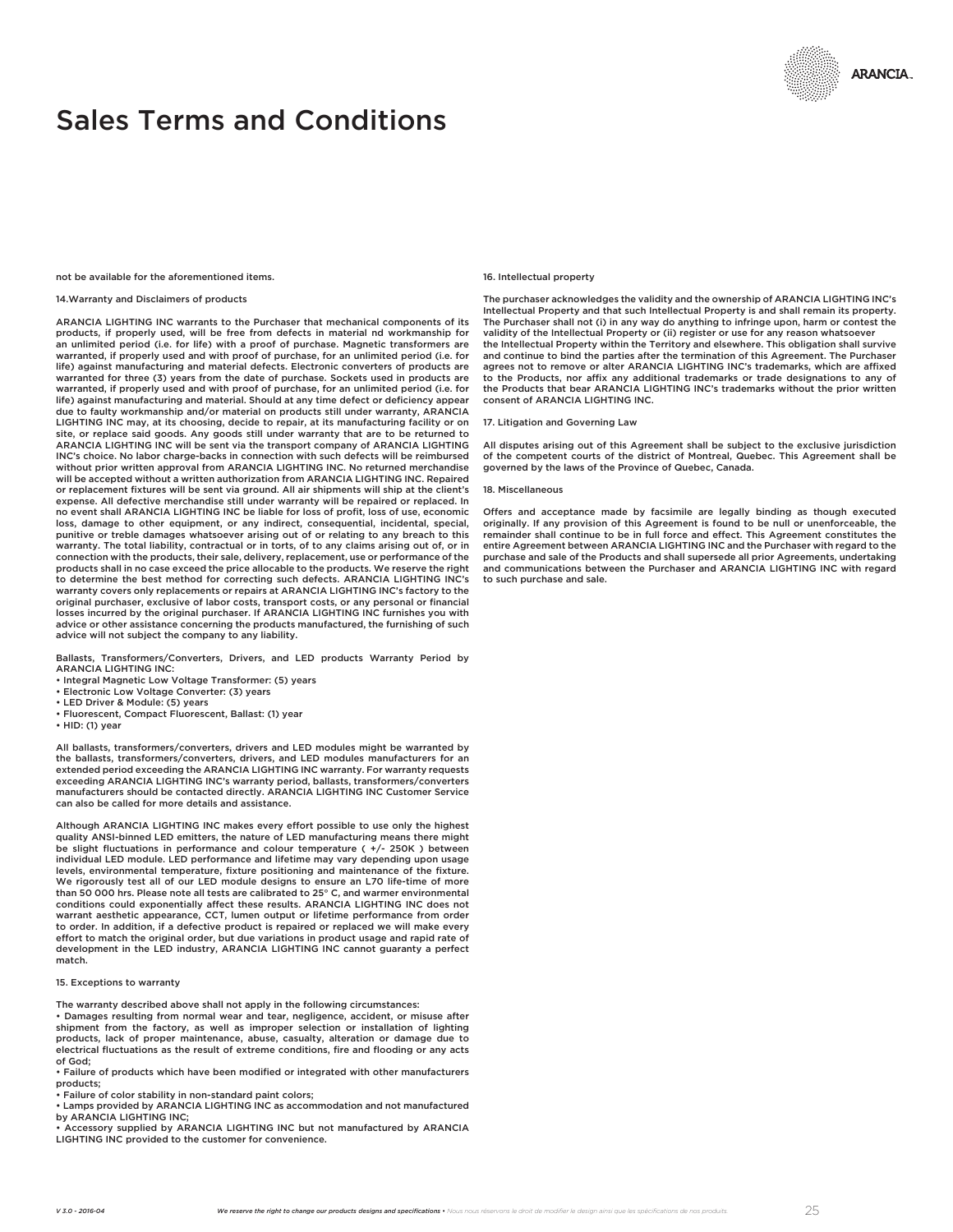# Sales Terms and Conditions

not be available for the aforementioned items.

# 14.Warranty and Disclaimers of products

ARANCIA LIGHTING INC warrants to the Purchaser that mechanical components of its products, if properly used, will be free from defects in material nd workmanship for an unlimited period (i.e. for life) with a proof of purchase. Magnetic transformers are warranted, if properly used and with proof of purchase, for an unlimited period (i.e. for life) against manufacturing and material defects. Electronic converters of products are warranted for three (3) years from the date of purchase. Sockets used in products are warranted, if properly used and with proof of purchase, for an unlimited period (i.e. for life) against manufacturing and material. Should at any time defect or deficiency appear due to faulty workmanship and/or material on products still under warranty, ARANCIA LIGHTING INC may, at its choosing, decide to repair, at its manufacturing facility or on site, or replace said goods. Any goods still under warranty that are to be returned to ARANCIA LIGHTING INC will be sent via the transport company of ARANCIA LIGHTING INC's choice. No labor charge-backs in connection with such defects will be reimbursed without prior written approval from ARANCIA LIGHTING INC. No returned merchandise will be accepted without a written authorization from ARANCIA LIGHTING INC. Repaired or replacement fixtures will be sent via ground. All air shipments will ship at the client's expense. All defective merchandise still under warranty will be repaired or replaced. In no event shall ARANCIA LIGHTING INC be liable for loss of profit, loss of use, economic loss, damage to other equipment, or any indirect, consequential, incidental, special, punitive or treble damages whatsoever arising out of or relating to any breach to this warranty. The total liability, contractual or in torts, of to any claims arising out of, or in connection with the products, their sale, delivery, replacement, use or performance of the products shall in no case exceed the price allocable to the products. We reserve the right to determine the best method for correcting such defects. ARANCIA LIGHTING INC's warranty covers only replacements or repairs at ARANCIA LIGHTING INC's factory to the original purchaser, exclusive of labor costs, transport costs, or any personal or financial losses incurred by the original purchaser. If ARANCIA LIGHTING INC furnishes you with advice or other assistance concerning the products manufactured, the furnishing of such advice will not subject the company to any liability.

Ballasts, Transformers/Converters, Drivers, and LED products Warranty Period by ARANCIA LIGHTING INC:

- Integral Magnetic Low Voltage Transformer: (5) years
- Electronic Low Voltage Converter: (3) years LED Driver & Module: (5) years
- 
- Fluorescent, Compact Fluorescent, Ballast: (1) year
- HID: (1) year

All ballasts, transformers/converters, drivers and LED modules might be warranted by the ballasts, transformers/converters, drivers, and LED modules manufacturers for an extended period exceeding the ARANCIA LIGHTING INC warranty. For warranty requests exceeding ARANCIA LIGHTING INC's warranty period, ballasts, transformers/converters manufacturers should be contacted directly. ARANCIA LIGHTING INC Customer Service can also be called for more details and assistance.

Although ARANCIA LIGHTING INC makes every effort possible to use only the highest quality ANSI-binned LED emitters, the nature of LED manufacturing means there might be slight fluctuations in performance and colour temperature ( +/- 250K ) between individual LED module. LED performance and lifetime may vary depending upon usage levels, environmental temperature, fixture positioning and maintenance of the fixture. We rigorously test all of our LED module designs to ensure an L70 life-time of more than 50 000 hrs. Please note all tests are calibrated to 25° C, and warmer environmental conditions could exponentially affect these results. ARANCIA LIGHTING INC does not warrant aesthetic appearance, CCT, lumen output or lifetime performance from order to order. In addition, if a defective product is repaired or replaced we will make every effort to match the original order, but due variations in product usage and rapid rate of development in the LED industry, ARANCIA LIGHTING INC cannot guaranty a perfect match.

## 15. Exceptions to warranty

The warranty described above shall not apply in the following circumstances:

• Damages resulting from normal wear and tear, negligence, accident, or misuse after shipment from the factory, as well as improper selection or installation of lighting products, lack of proper maintenance, abuse, casualty, alteration or damage due to electrical fluctuations as the result of extreme conditions, fire and flooding or any acts of God;

• Failure of products which have been modified or integrated with other manufacturers products;

• Failure of color stability in non-standard paint colors;

• Lamps provided by ARANCIA LIGHTING INC as accommodation and not manufactured by ARANCIA LIGHTING INC;

• Accessory supplied by ARANCIA LIGHTING INC but not manufactured by ARANCIA LIGHTING INC provided to the customer for convenience.

## 16. Intellectual property

The purchaser acknowledges the validity and the ownership of ARANCIA LIGHTING INC's Intellectual Property and that such Intellectual Property is and shall remain its property. The Purchaser shall not (i) in any way do anything to infringe upon, harm or contest the validity of the Intellectual Property or (ii) register or use for any reason whatsoever the Intellectual Property within the Territory and elsewhere. This obligation shall survive and continue to bind the parties after the termination of this Agreement. The Purchaser agrees not to remove or alter ARANCIA LIGHTING INC's trademarks, which are affixed to the Products, nor affix any additional trademarks or trade designations to any of the Products that bear ARANCIA LIGHTING INC's trademarks without the prior written consent of ARANCIA LIGHTING INC.

### 17. Litigation and Governing Law

All disputes arising out of this Agreement shall be subject to the exclusive jurisdiction of the competent courts of the district of Montreal, Quebec. This Agreement shall be governed by the laws of the Province of Quebec, Canada.

#### 18. Miscellaneous

Offers and acceptance made by facsimile are legally binding as though executed originally. If any provision of this Agreement is found to be null or unenforceable, the remainder shall continue to be in full force and effect. This Agreement constitutes the entire Agreement between ARANCIA LIGHTING INC and the Purchaser with regard to the purchase and sale of the Products and shall supersede all prior Agreements, undertaking and communications between the Purchaser and ARANCIA LIGHTING INC with regard to such purchase and sale.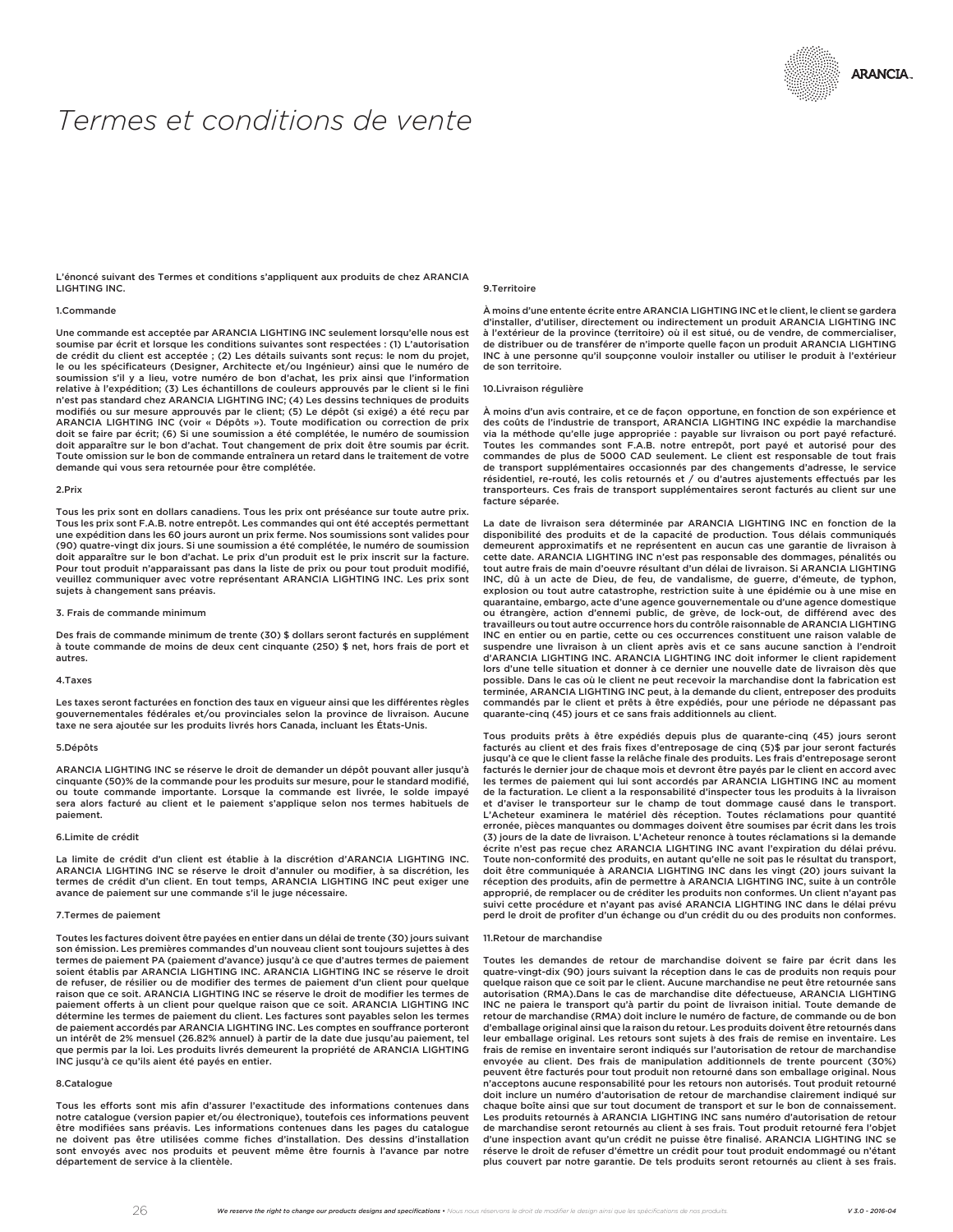# *Termes et conditions de vente*

L'énoncé suivant des Termes et conditions s'appliquent aux produits de chez ARANCIA LIGHTING INC.

## 1.Commande

Une commande est acceptée par ARANCIA LIGHTING INC seulement lorsqu'elle nous est soumise par écrit et lorsque les conditions suivantes sont respectées : (1) L'autorisation de crédit du client est acceptée ; (2) Les détails suivants sont reçus: le nom du projet,<br>le ou les spécificateurs (Designer, Architecte et/ou Ingénieur) ainsi que le numéro de soumission s'il y a lieu, votre numéro de bon d'achat, les prix ainsi que l'information relative à l'expédition; (3) Les échantillons de couleurs approuvés par le client si le fini n'est pas standard chez ARANCIA LIGHTING INC; (4) Les dessins techniques de produits modifiés ou sur mesure approuvés par le client; (5) Le dépôt (si exigé) a été reçu par ARANCIA LIGHTING INC (voir « Dépôts »). Toute modification ou correction de prix doit se faire par écrit; (6) Si une soumission a été complétée, le numéro de soumission doit apparaître sur le bon d'achat. Tout changement de prix doit être soumis par écrit. Toute omission sur le bon de commande entraînera un retard dans le traitement de votre demande qui vous sera retournée pour être complétée.

#### 2.Prix

Tous les prix sont en dollars canadiens. Tous les prix ont préséance sur toute autre prix. Tous les prix sont F.A.B. notre entrepôt. Les commandes qui ont été acceptés permettant une expédition dans les 60 jours auront un prix ferme. Nos soumissions sont valides pour (90) quatre-vingt dix jours. Si une soumission a été complétée, le numéro de soumission doit apparaître sur le bon d'achat. Le prix d'un produit est le prix inscrit sur la facture. Pour tout produit n'apparaissant pas dans la liste de prix ou pour tout produit modifié, veuillez communiquer avec votre représentant ARANCIA LIGHTING INC. Les prix sont sujets à changement sans préavis.

#### 3. Frais de commande minimum

Des frais de commande minimum de trente (30) \$ dollars seront facturés en supplément à toute commande de moins de deux cent cinquante (250) \$ net, hors frais de port et autres.

#### 4.Taxes

Les taxes seront facturées en fonction des taux en vigueur ainsi que les différentes règles gouvernementales fédérales et/ou provinciales selon la province de livraison. Aucune taxe ne sera ajoutée sur les produits livrés hors Canada, incluant les États-Unis.

## 5.Dépôts

ARANCIA LIGHTING INC se réserve le droit de demander un dépôt pouvant aller jusqu'à cinquante (50)% de la commande pour les produits sur mesure, pour le standard modifié, ou toute commande importante. Lorsque la commande est livrée, le solde impayé sera alors facturé au client et le paiement s'applique selon nos termes habituels de paiement.

## 6.Limite de crédit

La limite de crédit d'un client est établie à la discrétion d'ARANCIA LIGHTING INC. ARANCIA LIGHTING INC se réserve le droit d'annuler ou modifier, à sa discrétion, les termes de crédit d'un client. En tout temps, ARANCIA LIGHTING INC peut exiger une avance de paiement sur une commande s'il le juge nécessaire.

## 7.Termes de paiement

Toutes les factures doivent être payées en entier dans un délai de trente (30) jours suivant son émission. Les premières commandes d'un nouveau client sont toujours sujettes à des termes de paiement PA (paiement d'avance) jusqu'à ce que d'autres termes de paiement soient établis par ARANCIA LIGHTING INC. ARANCIA LIGHTING INC se réserve le droit de refuser, de résilier ou de modifier des termes de paiement d'un client pour quelque raison que ce soit. ARANCIA LIGHTING INC se réserve le droit de modifier les termes de paiement offerts à un client pour quelque raison que ce soit. ARANCIA LIGHTING INC détermine les termes de paiement du client. Les factures sont payables selon les termes de paiement accordés par ARANCIA LIGHTING INC. Les comptes en souffrance porteront un intérêt de 2% mensuel (26.82% annuel) à partir de la date due jusqu'au paiement, tel que permis par la loi. Les produits livrés demeurent la propriété de ARANCIA LIGHTING INC jusqu'à ce qu'ils aient été payés en entier.

## 8.Catalogue

Tous les efforts sont mis afin d'assurer l'exactitude des informations contenues dans notre catalogue (version papier et/ou électronique), toutefois ces informations peuvent être modifiées sans préavis. Les informations contenues dans les pages du catalogue ne doivent pas être utilisées comme fiches d'installation. Des dessins d'installation sont envoyés avec nos produits et peuvent même être fournis à l'avance par notre département de service à la clientèle.

## 9.Territoire

À moins d'une entente écrite entre ARANCIA LIGHTING INC et le client, le client se gardera d'installer, d'utiliser, directement ou indirectement un produit ARANCIA LIGHTING INC à l'extérieur de la province (territoire) où il est situé, ou de vendre, de commercialiser, de distribuer ou de transférer de n'importe quelle façon un produit ARANCIA LIGHTING INC à une personne qu'il soupçonne vouloir installer ou utiliser le produit à l'extérieur de son territoire.

# 10.Livraison régulière

À moins d'un avis contraire, et ce de façon opportune, en fonction de son expérience et des coûts de l'industrie de transport, ARANCIA LIGHTING INC expédie la marchandise via la méthode qu'elle juge appropriée : payable sur livraison ou port payé refacturé. Toutes les commandes sont F.A.B. notre entrepôt, port payé et autorisé pour des commandes de plus de 5000 CAD seulement. Le client est responsable de tout frais de transport supplémentaires occasionnés par des changements d'adresse, le service résidentiel, re-routé, les colis retournés et / ou d'autres ajustements effectués par les transporteurs. Ces frais de transport supplémentaires seront facturés au client sur une facture séparée.

La date de livraison sera déterminée par ARANCIA LIGHTING INC en fonction de la disponibilité des produits et de la capacité de production. Tous délais communiqués demeurent approximatifs et ne représentent en aucun cas une garantie de livraison à cette date. ARANCIA LIGHTING INC n'est pas responsable des dommages, pénalités ou tout autre frais de main d'oeuvre résultant d'un délai de livraison. Si ARANCIA LIGHTING INC, dû à un acte de Dieu, de feu, de vandalisme, de guerre, d'émeute, de typhon, explosion ou tout autre catastrophe, restriction suite à une épidémie ou à une mise en quarantaine, embargo, acte d'une agence gouvernementale ou d'une agence domestique ou étrangère, action d'ennemi public, de grève, de lock-out, de différend avec des travailleurs ou tout autre occurrence hors du contrôle raisonnable de ARANCIA LIGHTING INC en entier ou en partie, cette ou ces occurrences constituent une raison valable de suspendre une livraison à un client après avis et ce sans aucune sanction à l'endroit d'ARANCIA LIGHTING INC. ARANCIA LIGHTING INC doit informer le client rapidement lors d'une telle situation et donner à ce dernier une nouvelle date de livraison dès que possible. Dans le cas où le client ne peut recevoir la marchandise dont la fabrication est terminée, ARANCIA LIGHTING INC peut, à la demande du client, entreposer des produits commandés par le client et prêts à être expédiés, pour une période ne dépassant pas quarante-cinq (45) jours et ce sans frais additionnels au client.

Tous produits prêts à être expédiés depuis plus de quarante-cinq (45) jours seront facturés au client et des frais fixes d'entreposage de cinq (5)\$ par jour seront facturés jusqu'à ce que le client fasse la relâche finale des produits. Les frais d'entreposage seront facturés le dernier jour de chaque mois et devront être payés par le client en accord avec les termes de paiement qui lui sont accordés par ARANCIA LIGHTING INC au moment de la facturation. Le client a la responsabilité d'inspecter tous les produits à la livraison et d'aviser le transporteur sur le champ de tout dommage causé dans le transport. L'Acheteur examinera le matériel dès réception. Toutes réclamations pour quantité erronée, pièces manquantes ou dommages doivent être soumises par écrit dans les trois (3) jours de la date de livraison. L'Acheteur renonce à toutes réclamations si la demande écrite n'est pas reçue chez ARANCIA LIGHTING INC avant l'expiration du délai prévu. Toute non-conformité des produits, en autant qu'elle ne soit pas le résultat du transport, doit être communiquée à ARANCIA LIGHTING INC dans les vingt (20) jours suivant la réception des produits, afin de permettre à ARANCIA LIGHTING INC, suite à un contrôle approprié, de remplacer ou de créditer les produits non conformes. Un client n'ayant pas suivi cette procédure et n'ayant pas avisé ARANCIA LIGHTING INC dans le délai prévu perd le droit de profiter d'un échange ou d'un crédit du ou des produits non conformes.

#### 11.Retour de marchandise

Toutes les demandes de retour de marchandise doivent se faire par écrit dans les quatre-vingt-dix (90) jours suivant la réception dans le cas de produits non requis pour quelque raison que ce soit par le client. Aucune marchandise ne peut être retournée sans autorisation (RMA).Dans le cas de marchandise dite défectueuse, ARANCIA LIGHTING INC ne paiera le transport qu'à partir du point de livraison initial. Toute demande de retour de marchandise (RMA) doit inclure le numéro de facture, de commande ou de bon d'emballage original ainsi que la raison du retour. Les produits doivent être retournés dans leur emballage original. Les retours sont sujets à des frais de remise en inventaire. Les frais de remise en inventaire seront indiqués sur l'autorisation de retour de marchandise envoyée au client. Des frais de manipulation additionnels de trente pourcent (30%) peuvent être facturés pour tout produit non retourné dans son emballage original. Nous n'acceptons aucune responsabilité pour les retours non autorisés. Tout produit retourné doit inclure un numéro d'autorisation de retour de marchandise clairement indiqué sur chaque boîte ainsi que sur tout document de transport et sur le bon de connaissement. Les produits retournés à ARANCIA LIGHTING INC sans numéro d'autorisation de retour de marchandise seront retournés au client à ses frais. Tout produit retourné fera l'objet d'une inspection avant qu'un crédit ne puisse être finalisé. ARANCIA LIGHTING INC se réserve le droit de refuser d'émettre un crédit pour tout produit endommagé ou n'étant plus couvert par notre garantie. De tels produits seront retournés au client à ses frais.